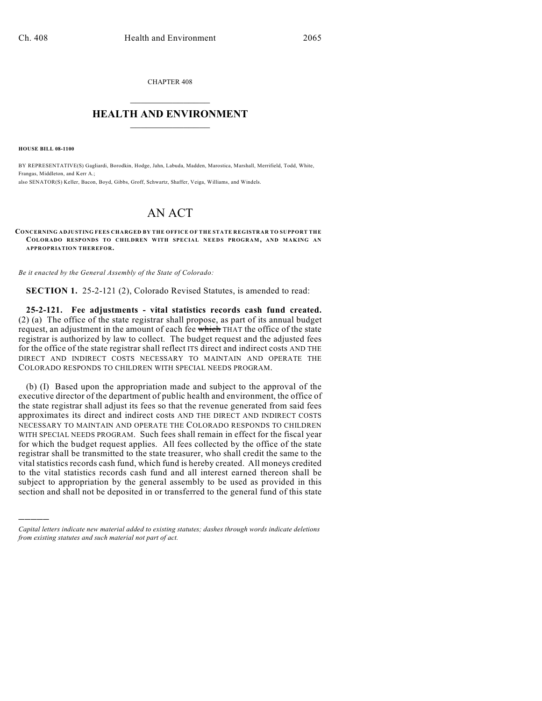CHAPTER 408  $\overline{\phantom{a}}$  . The set of the set of the set of the set of the set of the set of the set of the set of the set of the set of the set of the set of the set of the set of the set of the set of the set of the set of the set o

## **HEALTH AND ENVIRONMENT**  $\_$

**HOUSE BILL 08-1100**

)))))

BY REPRESENTATIVE(S) Gagliardi, Borodkin, Hodge, Jahn, Labuda, Madden, Marostica, Marshall, Merrifield, Todd, White, Frangas, Middleton, and Kerr A.; also SENATOR(S) Keller, Bacon, Boyd, Gibbs, Groff, Schwartz, Shaffer, Veiga, Williams, and Windels.

## AN ACT

**CONCERNING ADJUSTING FEES CHARGED BY THE OFFICE OF THE STATE REGISTRAR TO SUPPORT THE COLORADO RESPONDS TO CHILDREN WITH SPECIAL NEEDS PROGRAM, AND MAKING AN APPROPRIATION THEREFOR.**

*Be it enacted by the General Assembly of the State of Colorado:*

**SECTION 1.** 25-2-121 (2), Colorado Revised Statutes, is amended to read:

**25-2-121. Fee adjustments - vital statistics records cash fund created.** (2) (a) The office of the state registrar shall propose, as part of its annual budget request, an adjustment in the amount of each fee which THAT the office of the state registrar is authorized by law to collect. The budget request and the adjusted fees for the office of the state registrar shall reflect ITS direct and indirect costs AND THE DIRECT AND INDIRECT COSTS NECESSARY TO MAINTAIN AND OPERATE THE COLORADO RESPONDS TO CHILDREN WITH SPECIAL NEEDS PROGRAM.

(b) (I) Based upon the appropriation made and subject to the approval of the executive director of the department of public health and environment, the office of the state registrar shall adjust its fees so that the revenue generated from said fees approximates its direct and indirect costs AND THE DIRECT AND INDIRECT COSTS NECESSARY TO MAINTAIN AND OPERATE THE COLORADO RESPONDS TO CHILDREN WITH SPECIAL NEEDS PROGRAM. Such fees shall remain in effect for the fiscal year for which the budget request applies. All fees collected by the office of the state registrar shall be transmitted to the state treasurer, who shall credit the same to the vital statistics records cash fund, which fund is hereby created. All moneys credited to the vital statistics records cash fund and all interest earned thereon shall be subject to appropriation by the general assembly to be used as provided in this section and shall not be deposited in or transferred to the general fund of this state

*Capital letters indicate new material added to existing statutes; dashes through words indicate deletions from existing statutes and such material not part of act.*